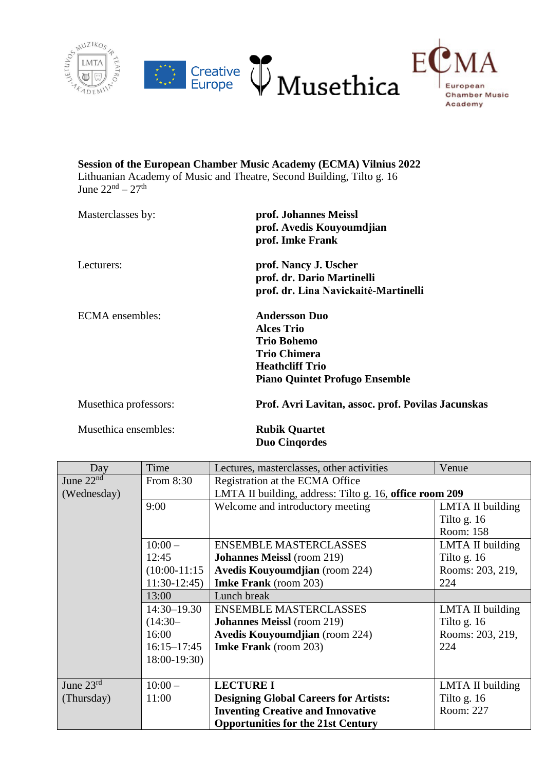



## **Session of the European Chamber Music Academy (ECMA) Vilnius 2022** Lithuanian Academy of Music and Theatre, Second Building, Tilto g. 16 June  $22<sup>nd</sup> - 27<sup>th</sup>$

| Masterclasses by:     | prof. Johannes Meissl<br>prof. Avedis Kouyoumdjian<br>prof. Imke Frank                                                                                    |
|-----------------------|-----------------------------------------------------------------------------------------------------------------------------------------------------------|
| Lecturers:            | prof. Nancy J. Uscher<br>prof. dr. Dario Martinelli<br>prof. dr. Lina Navickaitė-Martinelli                                                               |
| ECMA ensembles:       | <b>Andersson Duo</b><br><b>Alces Trio</b><br><b>Trio Bohemo</b><br><b>Trio Chimera</b><br><b>Heathcliff Trio</b><br><b>Piano Quintet Profugo Ensemble</b> |
| Musethica professors: | Prof. Avri Lavitan, assoc. prof. Povilas Jacunskas                                                                                                        |

Musethica ensembles: **Rubik Quartet**

**Duo Cinqordes**

| Day         | Time            | Lectures, masterclasses, other activities               | Venue            |  |
|-------------|-----------------|---------------------------------------------------------|------------------|--|
| June $22nd$ | From 8:30       | Registration at the ECMA Office                         |                  |  |
| (Wednesday) |                 | LMTA II building, address: Tilto g. 16, office room 209 |                  |  |
|             | 9:00            | Welcome and introductory meeting                        | LMTA II building |  |
|             |                 |                                                         | Tilto g. $16$    |  |
|             |                 |                                                         | Room: 158        |  |
|             | $10:00-$        | <b>ENSEMBLE MASTERCLASSES</b>                           | LMTA II building |  |
|             | 12:45           | <b>Johannes Meissl</b> (room 219)                       | Tilto g. $16$    |  |
|             | $(10:00-11:15)$ | <b>Avedis Kouyoumdjian</b> (room 224)                   | Rooms: 203, 219, |  |
|             | $11:30-12:45$   | <b>Imke Frank</b> (room 203)                            | 224              |  |
|             | 13:00           | Lunch break                                             |                  |  |
|             | $14:30 - 19.30$ | <b>ENSEMBLE MASTERCLASSES</b>                           | LMTA II building |  |
|             | $(14:30-$       | <b>Johannes Meissl</b> (room 219)                       | Tilto g. $16$    |  |
|             | 16:00           | <b>Avedis Kouyoumdjian</b> (room 224)                   | Rooms: 203, 219, |  |
|             | $16:15 - 17:45$ | <b>Imke Frank</b> (room 203)                            | 224              |  |
|             | $18:00-19:30$   |                                                         |                  |  |
|             |                 |                                                         |                  |  |
| June $23rd$ | $10:00 -$       | <b>LECTURE I</b>                                        | LMTA II building |  |
| (Thursday)  | 11:00           | <b>Designing Global Careers for Artists:</b>            | Tilto g. $16$    |  |
|             |                 | <b>Inventing Creative and Innovative</b>                | Room: 227        |  |
|             |                 | <b>Opportunities for the 21st Century</b>               |                  |  |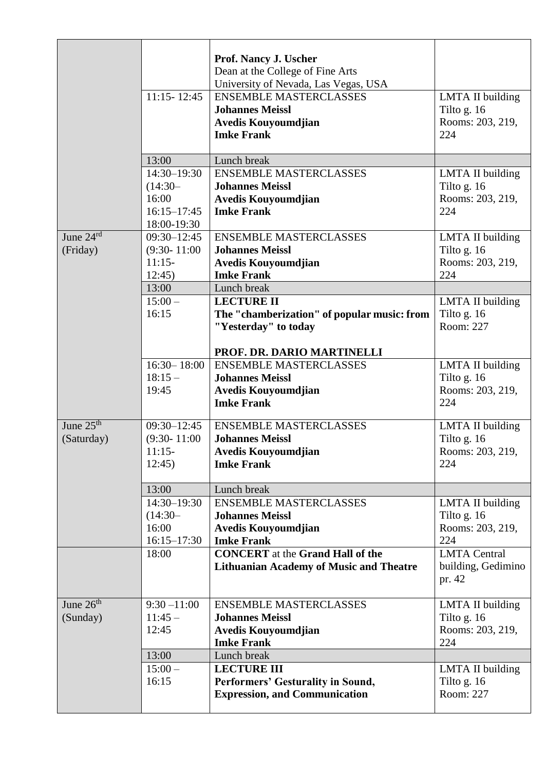|                       |                  | <b>Prof. Nancy J. Uscher</b>                   |                                 |
|-----------------------|------------------|------------------------------------------------|---------------------------------|
|                       |                  | Dean at the College of Fine Arts               |                                 |
|                       |                  | University of Nevada, Las Vegas, USA           |                                 |
|                       | $11:15 - 12:45$  | <b>ENSEMBLE MASTERCLASSES</b>                  | LMTA II building                |
|                       |                  | <b>Johannes Meissl</b>                         | Tilto g. 16                     |
|                       |                  | Avedis Kouyoumdjian                            | Rooms: 203, 219,                |
|                       |                  | <b>Imke Frank</b>                              | 224                             |
|                       |                  |                                                |                                 |
|                       | 13:00            | Lunch break                                    |                                 |
|                       | 14:30-19:30      | <b>ENSEMBLE MASTERCLASSES</b>                  | <b>LMTA II building</b>         |
|                       | $(14:30-$        | <b>Johannes Meissl</b>                         | Tilto g. 16                     |
|                       | 16:00            | Avedis Kouyoumdjian                            | Rooms: 203, 219,                |
|                       | $16:15 - 17:45$  | <b>Imke Frank</b>                              | 224                             |
|                       | 18:00-19:30      |                                                |                                 |
| June 24rd             | $09:30 - 12:45$  | <b>ENSEMBLE MASTERCLASSES</b>                  | <b>LMTA II building</b>         |
| (Friday)              | $(9:30 - 11:00)$ | <b>Johannes Meissl</b>                         | Tilto g. 16                     |
|                       | $11:15-$         | Avedis Kouyoumdjian                            | Rooms: 203, 219,                |
|                       | 12:45            | <b>Imke Frank</b>                              | 224                             |
|                       | 13:00            | Lunch break                                    |                                 |
|                       | $15:00-$         | <b>LECTURE II</b>                              | LMTA II building                |
|                       | 16:15            | The "chamberization" of popular music: from    | Tilto g. 16                     |
|                       |                  | "Yesterday" to today                           | Room: 227                       |
|                       |                  |                                                |                                 |
|                       |                  | PROF. DR. DARIO MARTINELLI                     |                                 |
|                       | $16:30 - 18:00$  | <b>ENSEMBLE MASTERCLASSES</b>                  | LMTA II building                |
|                       | $18:15-$         | <b>Johannes Meissl</b>                         | Tilto g. 16                     |
|                       | 19:45            | Avedis Kouyoumdjian                            | Rooms: 203, 219,                |
|                       |                  | <b>Imke Frank</b>                              | 224                             |
| June 25 <sup>th</sup> | $09:30 - 12:45$  | <b>ENSEMBLE MASTERCLASSES</b>                  |                                 |
| (Saturday)            | $(9:30 - 11:00)$ | <b>Johannes Meissl</b>                         | LMTA II building<br>Tilto g. 16 |
|                       | $11:15-$         | Avedis Kouyoumdjian                            | Rooms: 203, 219,                |
|                       | 12:45            | <b>Imke Frank</b>                              | 224                             |
|                       |                  |                                                |                                 |
|                       | 13:00            | Lunch break                                    |                                 |
|                       | 14:30-19:30      | <b>ENSEMBLE MASTERCLASSES</b>                  | LMTA II building                |
|                       | $(14:30 -$       | <b>Johannes Meissl</b>                         | Tilto g. $16$                   |
|                       | 16:00            | Avedis Kouyoumdjian                            | Rooms: 203, 219,                |
|                       | $16:15 - 17:30$  | <b>Imke Frank</b>                              | 224                             |
|                       | 18:00            | <b>CONCERT</b> at the Grand Hall of the        | <b>LMTA</b> Central             |
|                       |                  | <b>Lithuanian Academy of Music and Theatre</b> | building, Gedimino              |
|                       |                  |                                                | pr. 42                          |
|                       |                  |                                                |                                 |
| June $26th$           | $9:30 - 11:00$   | <b>ENSEMBLE MASTERCLASSES</b>                  | LMTA II building                |
| (Sunday)              | $11:45-$         | <b>Johannes Meissl</b>                         | Tilto g. 16                     |
|                       | 12:45            | Avedis Kouyoumdjian                            | Rooms: 203, 219,                |
|                       |                  | <b>Imke Frank</b>                              | 224                             |
|                       | 13:00            | Lunch break                                    |                                 |
|                       | $15:00-$         | <b>LECTURE III</b>                             | LMTA II building                |
|                       | 16:15            | Performers' Gesturality in Sound,              | Tilto g. $16$                   |
|                       |                  | <b>Expression, and Communication</b>           | Room: 227                       |
|                       |                  |                                                |                                 |